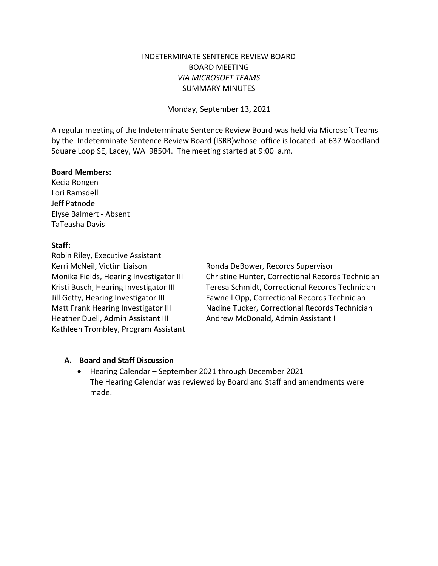# INDETERMINATE SENTENCE REVIEW BOARD BOARD MEETING *VIA MICROSOFT TEAMS* SUMMARY MINUTES

Monday, September 13, 2021

A regular meeting of the Indeterminate Sentence Review Board was held via Microsoft Teams by the Indeterminate Sentence Review Board (ISRB)whose office is located at 637 Woodland Square Loop SE, Lacey, WA 98504. The meeting started at 9:00 a.m.

#### **Board Members:**

Kecia Rongen Lori Ramsdell Jeff Patnode Elyse Balmert - Absent TaTeasha Davis

### **Staff:**

Robin Riley, Executive Assistant Kerri McNeil, Victim Liaison **Ronda DeBower, Records Supervisor** Heather Duell, Admin Assistant III Andrew McDonald, Admin Assistant I Kathleen Trombley, Program Assistant

Monika Fields, Hearing Investigator III Christine Hunter, Correctional Records Technician Kristi Busch, Hearing Investigator III Teresa Schmidt, Correctional Records Technician Jill Getty, Hearing Investigator III Fawneil Opp, Correctional Records Technician Matt Frank Hearing Investigator III Nadine Tucker, Correctional Records Technician

### **A. Board and Staff Discussion**

• Hearing Calendar – September 2021 through December 2021 The Hearing Calendar was reviewed by Board and Staff and amendments were made.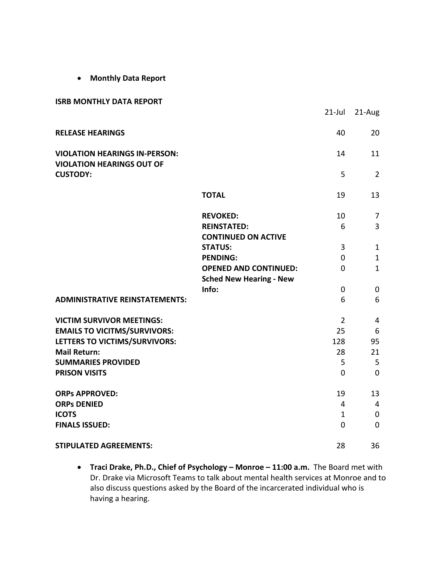• **Monthly Data Report**

#### **ISRB MONTHLY DATA REPORT**

|                                                                          |                                              | $21$ -Jul      | 21-Aug         |
|--------------------------------------------------------------------------|----------------------------------------------|----------------|----------------|
| <b>RELEASE HEARINGS</b>                                                  |                                              | 40             | 20             |
| <b>VIOLATION HEARINGS IN-PERSON:</b><br><b>VIOLATION HEARINGS OUT OF</b> |                                              | 14             | 11             |
| <b>CUSTODY:</b>                                                          |                                              | 5              | $\overline{2}$ |
|                                                                          | <b>TOTAL</b>                                 | 19             | 13             |
|                                                                          | <b>REVOKED:</b>                              | 10             | $\overline{7}$ |
|                                                                          | <b>REINSTATED:</b>                           | 6              | 3              |
|                                                                          | <b>CONTINUED ON ACTIVE</b><br><b>STATUS:</b> | 3              | $\mathbf{1}$   |
|                                                                          | <b>PENDING:</b>                              | 0              | $\mathbf{1}$   |
|                                                                          | <b>OPENED AND CONTINUED:</b>                 | $\overline{0}$ | $\mathbf{1}$   |
|                                                                          | <b>Sched New Hearing - New</b>               |                |                |
|                                                                          | Info:                                        | $\overline{0}$ | $\pmb{0}$      |
| <b>ADMINISTRATIVE REINSTATEMENTS:</b>                                    |                                              | 6              | 6              |
| <b>VICTIM SURVIVOR MEETINGS:</b>                                         |                                              | $\overline{2}$ | 4              |
| <b>EMAILS TO VICITMS/SURVIVORS:</b>                                      |                                              | 25             | 6              |
| LETTERS TO VICTIMS/SURVIVORS:                                            |                                              | 128            | 95             |
| <b>Mail Return:</b>                                                      |                                              | 28             | 21             |
| <b>SUMMARIES PROVIDED</b>                                                |                                              | 5              | 5              |
| <b>PRISON VISITS</b>                                                     |                                              | $\overline{0}$ | $\overline{0}$ |
| <b>ORPs APPROVED:</b>                                                    |                                              | 19             | 13             |
| <b>ORPs DENIED</b>                                                       |                                              | $\overline{4}$ | $\overline{4}$ |
| <b>ICOTS</b>                                                             |                                              | 1              | $\mathbf 0$    |
| <b>FINALS ISSUED:</b>                                                    |                                              | $\overline{0}$ | $\mathbf 0$    |
| <b>STIPULATED AGREEMENTS:</b>                                            |                                              | 28             | 36             |

• **Traci Drake, Ph.D., Chief of Psychology – Monroe – 11:00 a.m.** The Board met with Dr. Drake via Microsoft Teams to talk about mental health services at Monroe and to also discuss questions asked by the Board of the incarcerated individual who is having a hearing.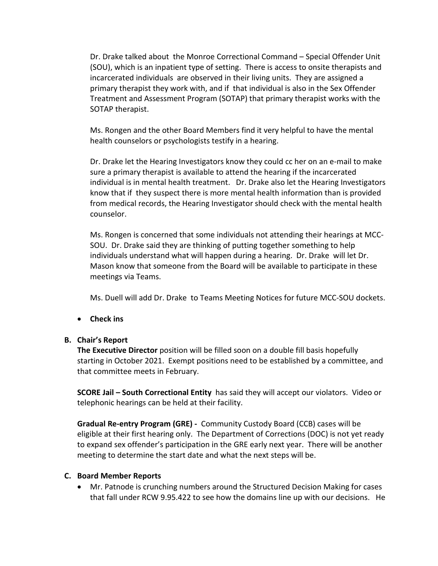Dr. Drake talked about the Monroe Correctional Command – Special Offender Unit (SOU), which is an inpatient type of setting. There is access to onsite therapists and incarcerated individuals are observed in their living units. They are assigned a primary therapist they work with, and if that individual is also in the Sex Offender Treatment and Assessment Program (SOTAP) that primary therapist works with the SOTAP therapist.

Ms. Rongen and the other Board Members find it very helpful to have the mental health counselors or psychologists testify in a hearing.

Dr. Drake let the Hearing Investigators know they could cc her on an e-mail to make sure a primary therapist is available to attend the hearing if the incarcerated individual is in mental health treatment. Dr. Drake also let the Hearing Investigators know that if they suspect there is more mental health information than is provided from medical records, the Hearing Investigator should check with the mental health counselor.

Ms. Rongen is concerned that some individuals not attending their hearings at MCC-SOU. Dr. Drake said they are thinking of putting together something to help individuals understand what will happen during a hearing. Dr. Drake will let Dr. Mason know that someone from the Board will be available to participate in these meetings via Teams.

Ms. Duell will add Dr. Drake to Teams Meeting Notices for future MCC-SOU dockets.

• **Check ins**

### **B. Chair's Report**

**The Executive Director** position will be filled soon on a double fill basis hopefully starting in October 2021. Exempt positions need to be established by a committee, and that committee meets in February.

**SCORE Jail – South Correctional Entity** has said they will accept our violators. Video or telephonic hearings can be held at their facility.

**Gradual Re-entry Program (GRE) -** Community Custody Board (CCB) cases will be eligible at their first hearing only. The Department of Corrections (DOC) is not yet ready to expand sex offender's participation in the GRE early next year. There will be another meeting to determine the start date and what the next steps will be.

### **C. Board Member Reports**

• Mr. Patnode is crunching numbers around the Structured Decision Making for cases that fall under RCW 9.95.422 to see how the domains line up with our decisions. He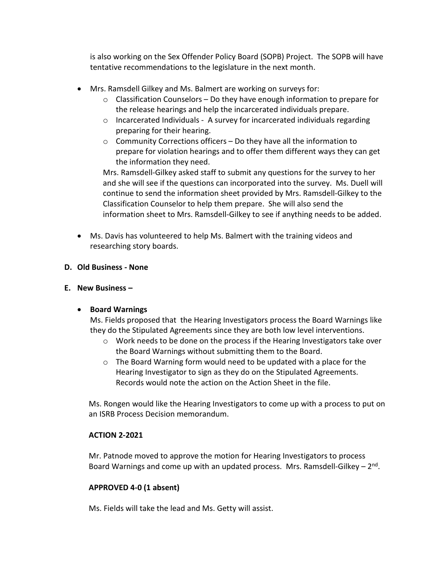is also working on the Sex Offender Policy Board (SOPB) Project. The SOPB will have tentative recommendations to the legislature in the next month.

- Mrs. Ramsdell Gilkey and Ms. Balmert are working on surveys for:
	- $\circ$  Classification Counselors Do they have enough information to prepare for the release hearings and help the incarcerated individuals prepare.
	- o Incarcerated Individuals A survey for incarcerated individuals regarding preparing for their hearing.
	- o Community Corrections officers Do they have all the information to prepare for violation hearings and to offer them different ways they can get the information they need.

Mrs. Ramsdell-Gilkey asked staff to submit any questions for the survey to her and she will see if the questions can incorporated into the survey. Ms. Duell will continue to send the information sheet provided by Mrs. Ramsdell-Gilkey to the Classification Counselor to help them prepare. She will also send the information sheet to Mrs. Ramsdell-Gilkey to see if anything needs to be added.

• Ms. Davis has volunteered to help Ms. Balmert with the training videos and researching story boards.

# **D. Old Business - None**

# **E. New Business –**

# • **Board Warnings**

Ms. Fields proposed that the Hearing Investigators process the Board Warnings like they do the Stipulated Agreements since they are both low level interventions.

- $\circ$  Work needs to be done on the process if the Hearing Investigators take over the Board Warnings without submitting them to the Board.
- o The Board Warning form would need to be updated with a place for the Hearing Investigator to sign as they do on the Stipulated Agreements. Records would note the action on the Action Sheet in the file.

Ms. Rongen would like the Hearing Investigators to come up with a process to put on an ISRB Process Decision memorandum.

# **ACTION 2-2021**

Mr. Patnode moved to approve the motion for Hearing Investigators to process Board Warnings and come up with an updated process. Mrs. Ramsdell-Gilkey  $-2<sup>nd</sup>$ .

# **APPROVED 4-0 (1 absent)**

Ms. Fields will take the lead and Ms. Getty will assist.